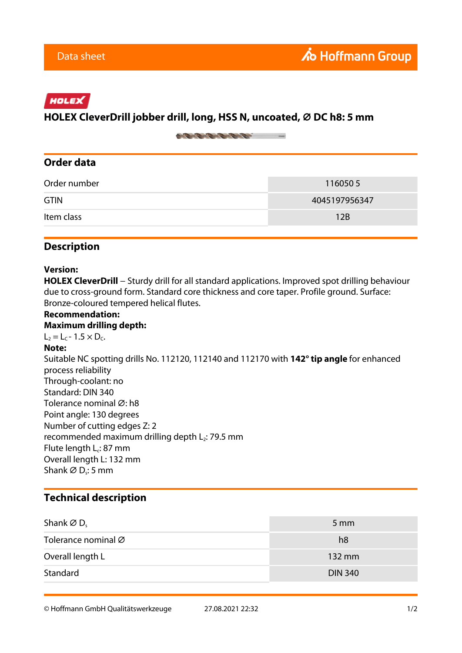# HOLEX

## **HOLEX CleverDrill jobber drill, long, HSS N, uncoated, ⌀ DC h8: 5 mm**

on the top the first many

## **Order data**

| Order number | 1160505       |
|--------------|---------------|
| <b>GTIN</b>  | 4045197956347 |
| Item class   | 12B           |

### **Description**

#### **Version:**

HOLEX CleverDrill − Sturdy drill for all standard applications. Improved spot drilling behaviour due to cross-ground form. Standard core thickness and core taper. Profile ground. Surface: Bronze-coloured tempered helical flutes.

#### **Recommendation: Maximum drilling depth:**  $L_2 = L_C - 1.5 \times D_C$ . **Note:** Suitable NC spotting drills No. 112120, 112140 and 112170 with **142° tip angle** for enhanced process reliability Through-coolant: no Standard: DIN 340 Tolerance nominal Ø: h8 Point angle: 130 degrees Number of cutting edges Z: 2 recommended maximum drilling depth  $L_2$ : 79.5 mm Flute length L<sub>c</sub>: 87 mm Overall length L: 132 mm Shank Ø D<sub>s</sub>: 5 mm

## **Technical description**

| Shank $\varnothing$ D <sub>s</sub> | $5 \, \mathrm{mm}$ |
|------------------------------------|--------------------|
| Tolerance nominal Ø                | h <sub>8</sub>     |
| Overall length L                   | 132 mm             |
| Standard                           | <b>DIN 340</b>     |

© Hoffmann GmbH Qualitätswerkzeuge 27.08.2021 22:32 1/2